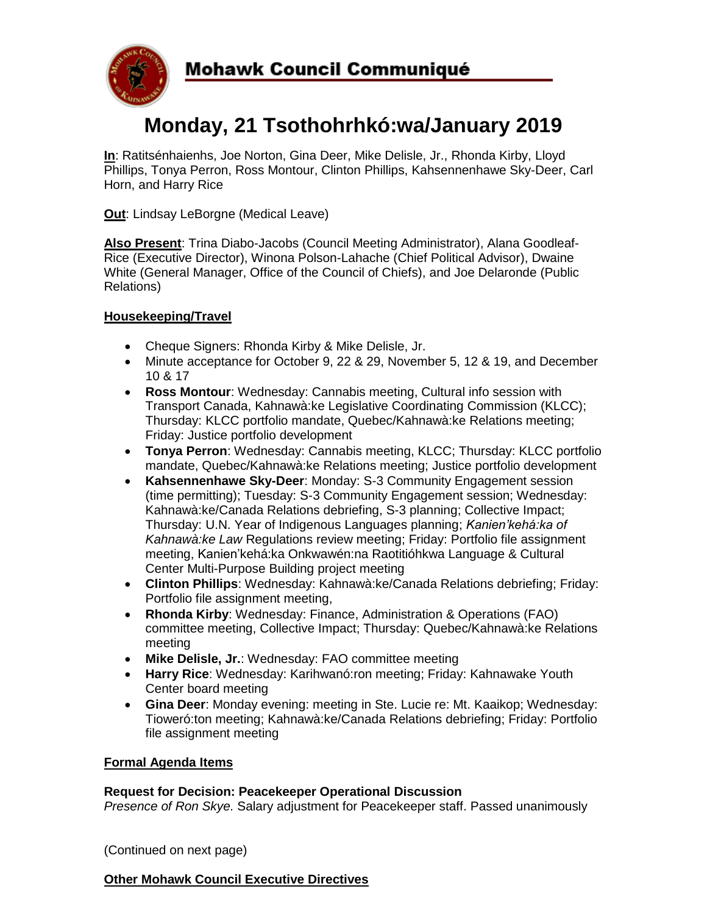

# **Monday, 21 Tsothohrhkó:wa/January 2019**

**In**: Ratitsénhaienhs, Joe Norton, Gina Deer, Mike Delisle, Jr., Rhonda Kirby, Lloyd Phillips, Tonya Perron, Ross Montour, Clinton Phillips, Kahsennenhawe Sky-Deer, Carl Horn, and Harry Rice

**Out**: Lindsay LeBorgne (Medical Leave)

**Also Present**: Trina Diabo-Jacobs (Council Meeting Administrator), Alana Goodleaf-Rice (Executive Director), Winona Polson-Lahache (Chief Political Advisor), Dwaine White (General Manager, Office of the Council of Chiefs), and Joe Delaronde (Public Relations)

## **Housekeeping/Travel**

- Cheque Signers: Rhonda Kirby & Mike Delisle, Jr.
- Minute acceptance for October 9, 22 & 29, November 5, 12 & 19, and December 10 & 17
- **Ross Montour**: Wednesday: Cannabis meeting, Cultural info session with Transport Canada, Kahnawà:ke Legislative Coordinating Commission (KLCC); Thursday: KLCC portfolio mandate, Quebec/Kahnawà:ke Relations meeting; Friday: Justice portfolio development
- **Tonya Perron**: Wednesday: Cannabis meeting, KLCC; Thursday: KLCC portfolio mandate, Quebec/Kahnawà:ke Relations meeting; Justice portfolio development
- **Kahsennenhawe Sky-Deer**: Monday: S-3 Community Engagement session (time permitting); Tuesday: S-3 Community Engagement session; Wednesday: Kahnawà:ke/Canada Relations debriefing, S-3 planning; Collective Impact; Thursday: U.N. Year of Indigenous Languages planning; *Kanien'kehá:ka of Kahnawà:ke Law* Regulations review meeting; Friday: Portfolio file assignment meeting, Kanien'kehá:ka Onkwawén:na Raotitióhkwa Language & Cultural Center Multi-Purpose Building project meeting
- **Clinton Phillips**: Wednesday: Kahnawà:ke/Canada Relations debriefing; Friday: Portfolio file assignment meeting,
- **Rhonda Kirby**: Wednesday: Finance, Administration & Operations (FAO) committee meeting, Collective Impact; Thursday: Quebec/Kahnawà:ke Relations meeting
- **Mike Delisle, Jr.**: Wednesday: FAO committee meeting
- **Harry Rice**: Wednesday: Karihwanó:ron meeting; Friday: Kahnawake Youth Center board meeting
- **Gina Deer**: Monday evening: meeting in Ste. Lucie re: Mt. Kaaikop; Wednesday: Tioweró:ton meeting; Kahnawà:ke/Canada Relations debriefing; Friday: Portfolio file assignment meeting

#### **Formal Agenda Items**

#### **Request for Decision: Peacekeeper Operational Discussion**

*Presence of Ron Skye.* Salary adjustment for Peacekeeper staff. Passed unanimously

(Continued on next page)

#### **Other Mohawk Council Executive Directives**